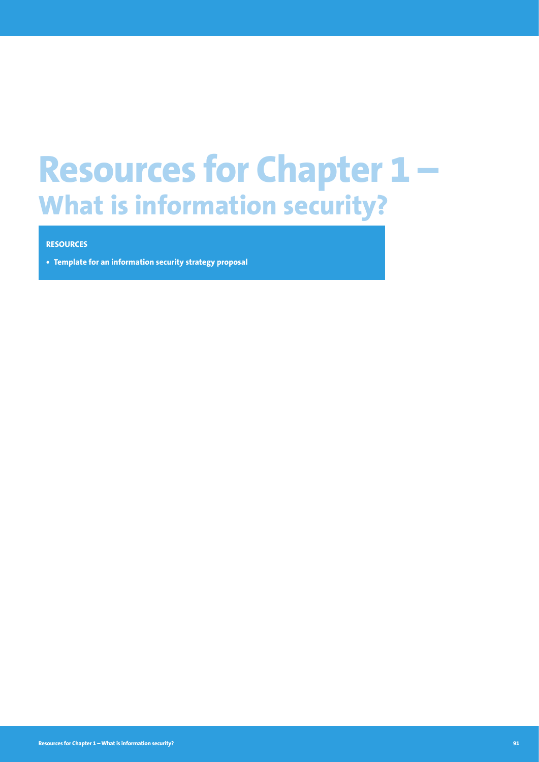# **Resources for Chapter 1 – What is information security?**

#### **RESOURCES**

**• Template for an information security strategy proposal**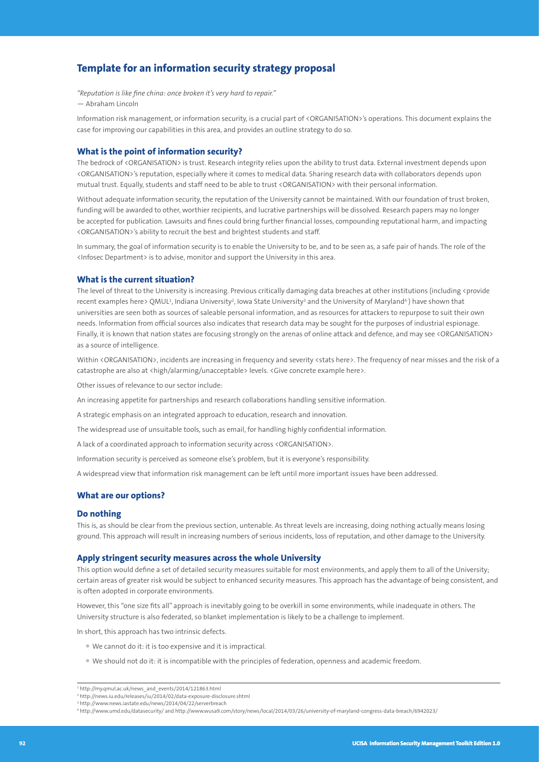### **Template for an information security strategy proposal**

*"Reputation is like fine china: once broken it's very hard to repair."* — Abraham Lincoln

Information risk management, or information security, is a crucial part of <ORGANISATION>'s operations. This document explains the case for improving our capabilities in this area, and provides an outline strategy to do so.

#### **What is the point of information security?**

The bedrock of <ORGANISATION> is trust. Research integrity relies upon the ability to trust data. External investment depends upon <ORGANISATION>'s reputation, especially where it comes to medical data. Sharing research data with collaborators depends upon mutual trust. Equally, students and staff need to be able to trust <ORGANISATION> with their personal information.

Without adequate information security, the reputation of the University cannot be maintained. With our foundation of trust broken, funding will be awarded to other, worthier recipients, and lucrative partnerships will be dissolved. Research papers may no longer be accepted for publication. Lawsuits and fines could bring further financial losses, compounding reputational harm, and impacting <ORGANISATION>'s ability to recruit the best and brightest students and staff.

In summary, the goal of information security is to enable the University to be, and to be seen as, a safe pair of hands. The role of the <Infosec Department> is to advise, monitor and support the University in this area.

#### **What is the current situation?**

The level of threat to the University is increasing. Previous critically damaging data breaches at other institutions (including <provide recent examples here> QMUL<del>'</del>, Indiana University<sup>2</sup>, Iowa State University<sup>3</sup> and the University of Maryland<sup>4</sup> ) have shown that universities are seen both as sources of saleable personal information, and as resources for attackers to repurpose to suit their own needs. Information from official sources also indicates that research data may be sought for the purposes of industrial espionage. Finally, it is known that nation states are focusing strongly on the arenas of online attack and defence, and may see <ORGANISATION> as a source of intelligence.

Within <ORGANISATION>, incidents are increasing in frequency and severity <stats here>. The frequency of near misses and the risk of a catastrophe are also at <high/alarming/unacceptable> levels. <Give concrete example here>.

Other issues of relevance to our sector include:

An increasing appetite for partnerships and research collaborations handling sensitive information.

A strategic emphasis on an integrated approach to education, research and innovation.

The widespread use of unsuitable tools, such as email, for handling highly confidential information.

A lack of a coordinated approach to information security across <ORGANISATION>.

Information security is perceived as someone else's problem, but it is everyone's responsibility.

A widespread view that information risk management can be left until more important issues have been addressed.

#### **What are our options?**

#### **Do nothing**

This is, as should be clear from the previous section, untenable. As threat levels are increasing, doing nothing actually means losing ground. This approach will result in increasing numbers of serious incidents, loss of reputation, and other damage to the University.

#### **Apply stringent security measures across the whole University**

This option would define a set of detailed security measures suitable for most environments, and apply them to all of the University; certain areas of greater risk would be subject to enhanced security measures. This approach has the advantage of being consistent, and is often adopted in corporate environments.

However, this "one size fits all" approach is inevitably going to be overkill in some environments, while inadequate in others. The University structure is also federated, so blanket implementation is likely to be a challenge to implement.

In short, this approach has two intrinsic defects.

- We cannot do it: it is too expensive and it is impractical.
- We should not do it: it is incompatible with the principles of federation, openness and academic freedom.

<sup>1</sup> [http://my.qmul.ac.uk/news\\_and\\_events/2014/121863.html](http://my.qmul.ac.uk/news_and_events/2014/121863.html) 

<sup>2</sup> <http://news.iu.edu/releases/iu/2014/02/data-exposure-disclosure.shtml>

<sup>3</sup> <http://www.news.iastate.edu/news/2014/04/22/serverbreach>

<sup>4</sup> <http://www.umd.edu/datasecurity/>and [http://www.wusa9.com/story/news/local/2014/03/26/university-of-maryland-congress-data-breach/6942023/](http://www.umd.edu/datasecurity/)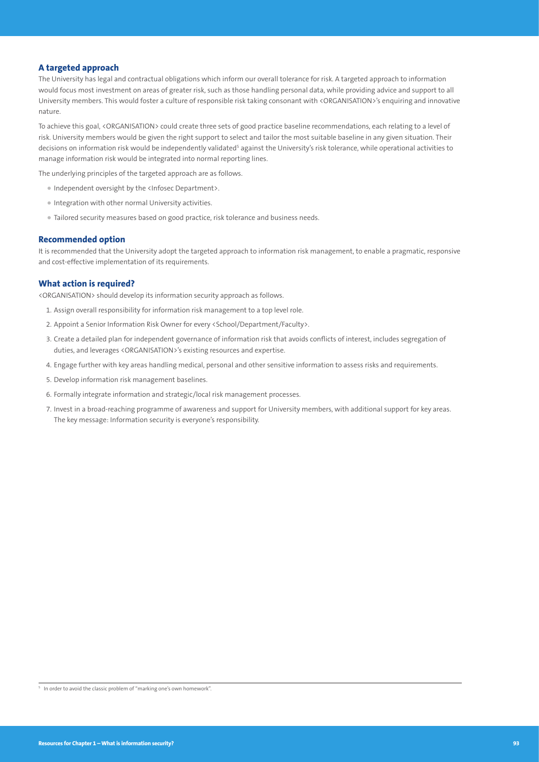#### **A targeted approach**

The University has legal and contractual obligations which inform our overall tolerance for risk. A targeted approach to information would focus most investment on areas of greater risk, such as those handling personal data, while providing advice and support to all University members. This would foster a culture of responsible risk taking consonant with <ORGANISATION>'s enquiring and innovative nature.

To achieve this goal, <ORGANISATION> could create three sets of good practice baseline recommendations, each relating to a level of risk. University members would be given the right support to select and tailor the most suitable baseline in any given situation. Their decisions on information risk would be independently validated<sup>s</sup> against the University's risk tolerance, while operational activities to manage information risk would be integrated into normal reporting lines.

The underlying principles of the targeted approach are as follows.

- Independent oversight by the <Infosec Department>.
- Integration with other normal University activities.
- Tailored security measures based on good practice, risk tolerance and business needs.

#### **Recommended option**

It is recommended that the University adopt the targeted approach to information risk management, to enable a pragmatic, responsive and cost-effective implementation of its requirements.

#### **What action is required?**

<ORGANISATION> should develop its information security approach as follows.

- 1. Assign overall responsibility for information risk management to a top level role.
- 2. Appoint a Senior Information Risk Owner for every <School/Department/Faculty>.
- 3. Create a detailed plan for independent governance of information risk that avoids conflicts of interest, includes segregation of duties, and leverages <ORGANISATION>'s existing resources and expertise.
- 4. Engage further with key areas handling medical, personal and other sensitive information to assess risks and requirements.
- 5. Develop information risk management baselines.
- 6. Formally integrate information and strategic/local risk management processes.
- 7. Invest in a broad-reaching programme of awareness and support for University members, with additional support for key areas. The key message: Information security is everyone's responsibility.

<sup>5</sup> In order to avoid the classic problem of "marking one's own homework".